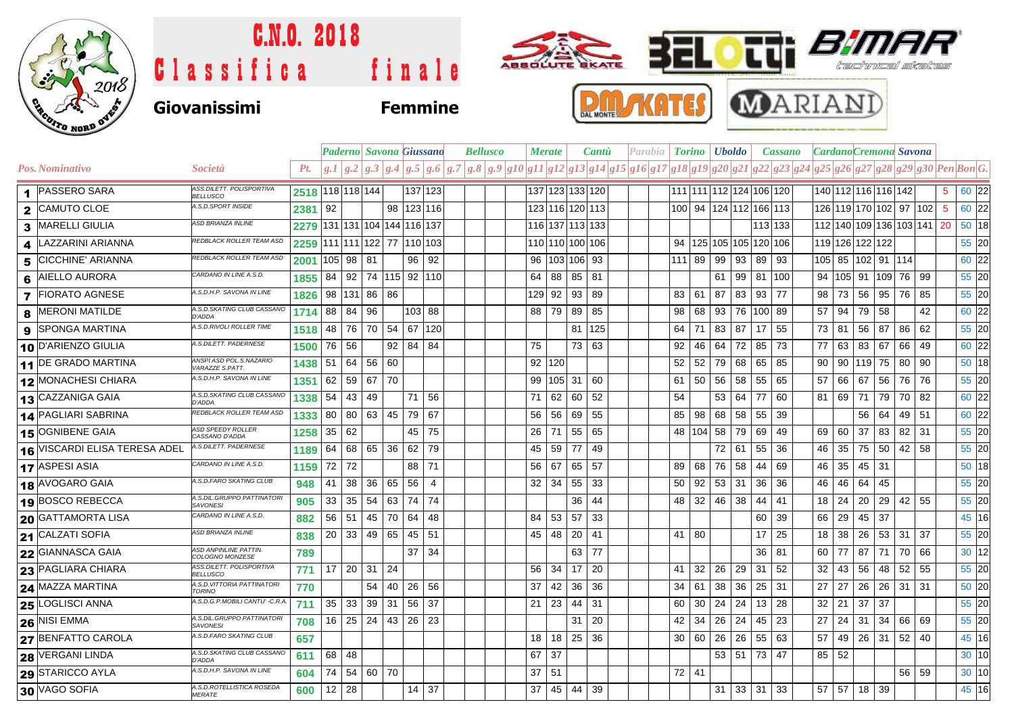

## C.N.O. 2018  $\bullet$ tti  $\textcolor{blue}{\bm{B\!}\bm{\eta}}$ **SANGE BEL** Classifica finale tred Skill red **P.M. ANTES MARIAND Giovanissimi Femmine**

|                         |                                      |                                                 |                              |       |              |                           | <b>Paderno Savona Giussano</b> |                |                | <b>Bellusco</b> |  |  | <b>Merate</b>                                                                                                                                                                                                                                                                                                                                                                                  |        |                     | <b>Cantu</b> |  | Parabia |    | <b>Torino</b> <i>Uboldo</i>      |       | <b>Cassano</b>               |              |         |                     |              |              | <b>Cardano</b> Cremona Savona |    |                            |                |       |
|-------------------------|--------------------------------------|-------------------------------------------------|------------------------------|-------|--------------|---------------------------|--------------------------------|----------------|----------------|-----------------|--|--|------------------------------------------------------------------------------------------------------------------------------------------------------------------------------------------------------------------------------------------------------------------------------------------------------------------------------------------------------------------------------------------------|--------|---------------------|--------------|--|---------|----|----------------------------------|-------|------------------------------|--------------|---------|---------------------|--------------|--------------|-------------------------------|----|----------------------------|----------------|-------|
|                         | <b>Pos. Nominativo</b>               | <i>Società</i>                                  | Pt.                          |       |              |                           |                                |                |                |                 |  |  | $\left[g.1\right]g.2\left[g.3\right]g.4\left[g.5\right]g.6\left[g.7\right]g.8\left[g.9\right]g10\left[g11\right]g12\left[g13\right]g14\left[g15\right]g16\left[g17\right]g18\left[g19\right]g20\left[g21\right]g22\left[g23\right]g22\left[g25\right]g26\left[g27\right]g28\left[g29\right]g20\left[g27\right]g26\left[g26\right]g27\left[g28\right]g29\left[g27\right]g28\left[g29\right]g20$ |        |                     |              |  |         |    |                                  |       |                              |              |         |                     |              |              |                               |    |                            |                |       |
|                         | 1 PASSERO SARA                       | ASS.DILETT. POLISPORTIVA<br><b>BELLUSCO</b>     | 2518 118 118 144             |       |              |                           |                                | 137 123        |                |                 |  |  |                                                                                                                                                                                                                                                                                                                                                                                                |        | 137 123 133 120     |              |  |         |    | 111 111 12 124 106 120           |       |                              |              |         | 140 112 116 116 142 |              |              |                               |    |                            | 5 <sup>5</sup> | 60 22 |
| $\mathbf{2}$            | <b>CAMUTO CLOE</b>                   | A.S.D.SPORT INSIDE                              | 2381                         | 92    |              |                           |                                | 98   123   116 |                |                 |  |  |                                                                                                                                                                                                                                                                                                                                                                                                |        | 123 116 120 113     |              |  |         |    | 100 94 124 112 166 113           |       |                              |              |         |                     |              |              |                               |    | 126 119 170 102 97 102 5   |                | 60 22 |
| 3                       | <b>MARELLI GIULIA</b>                | <b>ASD BRIANZA INLINE</b>                       | 2279 131 131 104 144 116 137 |       |              |                           |                                |                |                |                 |  |  |                                                                                                                                                                                                                                                                                                                                                                                                |        | 116 137 113 133     |              |  |         |    |                                  |       |                              |              | 113 133 |                     |              |              |                               |    | 112 140 109 136 103 141 20 |                | 50 18 |
| 4                       | LAZZARINI ARIANNA                    | REDBLACK ROLLER TEAM ASD                        | 2259                         |       |              |                           | 111 111 122 77 110 103         |                |                |                 |  |  |                                                                                                                                                                                                                                                                                                                                                                                                |        | 110 110 100 106     |              |  |         |    | 94   125   105   105   120   106 |       |                              |              |         | 119 126 122 122     |              |              |                               |    |                            |                | 55 20 |
| 5                       | <b>CICCHINE' ARIANNA</b>             | REDBLACK ROLLER TEAM ASD                        | 2001                         |       | 105 98 81    |                           |                                | 96 92          |                |                 |  |  |                                                                                                                                                                                                                                                                                                                                                                                                |        | 96   103   106   93 |              |  |         |    | 111 89                           |       | 99 93                        | 89 93        |         | 105 85 102 91 114   |              |              |                               |    |                            |                | 60 22 |
| 6                       | <b>AIELLO AURORA</b>                 | CARDANO IN LINE A.S.D.                          | 1855                         |       |              |                           | 84   92   74   115   92   110  |                |                |                 |  |  | 64                                                                                                                                                                                                                                                                                                                                                                                             |        | 88 85 81            |              |  |         |    |                                  | 61    | 99                           | 81 100       |         |                     |              |              | 94   105   91   109   76      |    | 99                         |                | 55 20 |
| $\overline{\mathbf{z}}$ | <b>FIORATO AGNESE</b>                | A.S.D.H.P. SAVONA IN LINE                       | 1826                         |       |              | 98 131 86 86              |                                |                |                |                 |  |  | 129                                                                                                                                                                                                                                                                                                                                                                                            | 92     | 93                  | 89           |  |         | 83 | 61                               | 87    | 83                           | 93 77        |         | 98                  | 73           | 56           | 95                            | 76 | 85                         |                | 55 20 |
| 8                       | <b>MERONI MATILDE</b>                | A.S.D.SKATING CLUB CASSANO<br>D'ADDA            | 1714                         |       | 88 84        | 96                        |                                | 103 88         |                |                 |  |  | 88                                                                                                                                                                                                                                                                                                                                                                                             |        | 79 89               | 85           |  |         | 98 | 68                               | 93    | 76                           | 100 89       |         | 57                  | 94           | 79           | 58                            |    | 42                         |                | 60 22 |
| 9                       | <b>SPONGA MARTINA</b>                | A.S.D.RIVOLI ROLLER TIME                        | 1518                         |       | 48 76        | 70                        | 54                             | 67             | 120            |                 |  |  |                                                                                                                                                                                                                                                                                                                                                                                                |        |                     | 81 125       |  |         |    | $64$   71                        | 83 87 |                              | $17 \mid 55$ |         | 73   81             |              | 56           | 87                            | 86 | 62                         |                | 55 20 |
|                         | 10 D'ARIENZO GIULIA                  | A.S.DILETT. PADERNESE                           | 1500                         | 76    | 56           |                           | 92                             | 84             | 84             |                 |  |  | 75                                                                                                                                                                                                                                                                                                                                                                                             |        |                     | 73 63        |  |         | 92 | 46                               | 64    | 72                           | 85 73        |         | 77                  | 63           | 83           | 67                            | 66 | 49                         |                | 60 22 |
|                         | 11 DE GRADO MARTINA                  | ANSPI ASD POL.S.NAZARIO<br>VARAZZE S.PATT.      | 1438                         |       |              | 51   64   56   60         |                                |                |                |                 |  |  |                                                                                                                                                                                                                                                                                                                                                                                                | 92 120 |                     |              |  |         |    | $52$ 52                          |       | 79 68                        | 65 85        |         |                     |              | 90 90 119 75 |                               | 80 | 90                         |                | 50 18 |
|                         | <b>12 MONACHESI CHIARA</b>           | A.S.D.H.P. SAVONA IN LINE                       | 1351                         |       | $62 \mid 59$ | 67 70                     |                                |                |                |                 |  |  | 99                                                                                                                                                                                                                                                                                                                                                                                             |        | 105 31 60           |              |  |         |    | 61 50                            | 56    | 58                           | 55           | 65      | 57                  | 66           | 67           | 56                            | 76 | 76                         |                | 55 20 |
|                         | 13 CAZZANIGA GAIA                    | A.S.D.SKATING CLUB CASSANO<br>D'ADDA            | 1338                         |       | $54 \mid 43$ | 49                        |                                | 71             | 56             |                 |  |  | 71                                                                                                                                                                                                                                                                                                                                                                                             | 62     | 60                  | 52           |  |         | 54 |                                  |       | 53 64                        | 77           | 60      |                     | 81   69   71 |              | 79                            | 70 | 82                         |                | 60 22 |
|                         | 14 PAGLIARI SABRINA                  | REDBLACK ROLLER TEAM ASD                        | 1333                         | 80    | $ 80\rangle$ | 63   45                   |                                | 79 67          |                |                 |  |  | 56                                                                                                                                                                                                                                                                                                                                                                                             |        | 56 69               | 55           |  |         |    | 85 98                            | 68    | 58                           | 55           | 39      |                     |              | 56           | 64                            | 49 | 51                         |                | 60 22 |
|                         | 15 OGNIBENE GAIA                     | <b>ASD SPEEDY ROLLER</b><br>CASSANO D'ADDA      | 1258                         | 35    | 62           |                           |                                | 45             | 75             |                 |  |  | 26                                                                                                                                                                                                                                                                                                                                                                                             | 71     | 55                  | 65           |  |         |    | 48   104   58                    |       | 79                           | 69           | 49      | 69                  | 60           | 37           | 83                            |    | $82$ 31                    |                | 55 20 |
|                         | <b>16 VISCARDI ELISA TERESA ADEL</b> | A.S.DILETT. PADERNESE                           | 1189                         | 64    |              | 68 65 36                  |                                | 62             | 79             |                 |  |  | 45                                                                                                                                                                                                                                                                                                                                                                                             | 59     | 77                  | 49           |  |         |    |                                  |       | 72 61                        | 55           | 36      | 46                  | 35           | 75           | 50                            |    | $42 \mid 58$               |                | 55 20 |
|                         | 17 ASPESI ASIA                       | CARDANO IN LINE A.S.D.                          | 1159                         | 72 72 |              |                           |                                | 88 71          |                |                 |  |  | 56                                                                                                                                                                                                                                                                                                                                                                                             | 67     | 65 57               |              |  |         |    | 89 68 76 58                      |       |                              | 44           | 69      | 46                  | 35           | 45 31        |                               |    |                            |                | 50 18 |
|                         | 18 AVOGARO GAIA                      | A.S.D.FARO SKATING CLUB                         | 948                          |       | $41 \mid 38$ | 36                        | 65                             | 56             | $\overline{4}$ |                 |  |  | 32                                                                                                                                                                                                                                                                                                                                                                                             | 34     | 55                  | 33           |  |         | 50 | 92                               |       | $53 \mid 31$                 | 36           | 36      | 46                  | 46           | 64           | 45                            |    |                            |                | 55 20 |
|                         | 19 BOSCO REBECCA                     | A.S.DIL.GRUPPO PATTINATOR.<br><b>SAVONESI</b>   | 905                          | 33    | 35           | 54                        | 63                             | 74             | 74             |                 |  |  |                                                                                                                                                                                                                                                                                                                                                                                                |        | 36                  | 44           |  |         |    | 48 32                            | 46    | 38                           | 44           | 41      | 18                  | $\sqrt{24}$  | 20           | 29                            | 42 | 55                         |                | 55 20 |
|                         | 20 GATTAMORTA LISA                   | CARDANO IN LINE A.S.D.                          | 882                          |       | $56$ 51      | 45                        | 70                             | 64             | 48             |                 |  |  | 84                                                                                                                                                                                                                                                                                                                                                                                             | 53     | 57                  | 33           |  |         |    |                                  |       |                              | 60           | 39      | 66                  | 29           | 45           | 37                            |    |                            |                | 45 16 |
|                         | <b>21 CALZATI SOFIA</b>              | <b>ASD BRIANZA INLINE</b>                       | 838                          |       |              | $20 \mid 33 \mid 49 \mid$ | 65                             | $45 \mid 51$   |                |                 |  |  | 45                                                                                                                                                                                                                                                                                                                                                                                             | 48     | 20                  | 41           |  |         |    | 41   80                          |       |                              | 17           | 25      | 18 38               |              | 26           | 53 31 37                      |    |                            |                | 55 20 |
|                         | 22 GIANNASCA GAIA                    | <b>ASD ANPINLINE PATTIN.</b><br>COLOGNO MONZESE | 789                          |       |              |                           |                                | 37             | -34            |                 |  |  |                                                                                                                                                                                                                                                                                                                                                                                                |        | 63                  | 77           |  |         |    |                                  |       |                              | 36           | 81      | 60 77               |              | 87           | 71                            | 70 | 66                         |                | 30 12 |
|                         | 23 PAGLIARA CHIARA                   | ASS.DILETT. POLISPORTIVA<br><b>BELLUSCO</b>     | 771                          |       |              | $17$   20   31   24       |                                |                |                |                 |  |  | 56                                                                                                                                                                                                                                                                                                                                                                                             | 34     | 17                  | -20          |  |         | 41 | 32                               | 26    | 29                           | 31           | 52      | 32                  | 43           | 56           | 48                            | 52 | 55                         |                | 55 20 |
|                         | 24 MAZZA MARTINA                     | A.S.D. VITTORIA PATTINATOR.<br><b>TORINO</b>    | 770                          |       |              | 54                        |                                | 40 26 56       |                |                 |  |  | 37                                                                                                                                                                                                                                                                                                                                                                                             | 42     | 36                  | 36           |  |         | 34 | 61                               | 38    | 36                           | 25           | 31      | 27                  | 27           | 26           | $26$ 31 31                    |    |                            |                | 50 20 |
|                         | 25 LOGLISCI ANNA                     | A.S.D.G.P.MOBILI CANTU' -C.R.A                  | 711                          | 35    | 33           | 39                        | 31                             | 56             | 37             |                 |  |  | 21                                                                                                                                                                                                                                                                                                                                                                                             | 23     | 44                  | 31           |  |         | 60 | 30                               | 24    | 24                           | 13           | 28      | $32 \mid 21$        |              | 37           | 37                            |    |                            |                | 55 20 |
|                         | <b>26 NISI EMMA</b>                  | A.S.DIL.GRUPPO PATTINATORI<br><b>SAVONESI</b>   | 708                          |       |              | $16$ 25 24                | $43 \mid 26 \mid 23$           |                |                |                 |  |  |                                                                                                                                                                                                                                                                                                                                                                                                |        | 31                  | 20           |  |         | 42 | 34                               | 26    | 24                           | 45           | 23      | 27                  | 24           | 31           | 34                            | 66 | 69                         |                | 55 20 |
|                         | 27 BENFATTO CAROLA                   | A.S.D.FARO SKATING CLUB                         | 657                          |       |              |                           |                                |                |                |                 |  |  | 18                                                                                                                                                                                                                                                                                                                                                                                             | 18     | 25                  | 36           |  |         |    | 30 60                            | 26    | 26                           | 55           | 63      | 57                  | 49           |              | 26 31                         | 52 | 40                         |                | 45 16 |
|                         | <b>28 VERGANI LINDA</b>              | A.S.D.SKATING CLUB CASSANO<br>D'ADDA            | 611                          | 68    | 48           |                           |                                |                |                |                 |  |  | 67                                                                                                                                                                                                                                                                                                                                                                                             | 37     |                     |              |  |         |    |                                  |       | $53 \mid 51$                 | 73 47        |         | 85                  | 52           |              |                               |    |                            |                | 30 10 |
|                         | 29 STARICCO AYLA                     | A.S.D.H.P. SAVONA IN LINE                       | 604                          |       |              | 74 54 60 70               |                                |                |                |                 |  |  | 37                                                                                                                                                                                                                                                                                                                                                                                             | 51     |                     |              |  |         |    | $72$ 41                          |       |                              |              |         |                     |              |              |                               |    | 56 59                      |                | 30 10 |
|                         | 30 VAGO SOFIA                        | A.S.D.ROTELLISTICA ROSEDA<br><b>MERATE</b>      | 600                          |       | $12 \mid 28$ |                           |                                | 14 37          |                |                 |  |  | 37                                                                                                                                                                                                                                                                                                                                                                                             |        | 45 44 39            |              |  |         |    |                                  |       | $31 \mid 33 \mid 31 \mid 33$ |              |         |                     |              | 57 57 18 39  |                               |    |                            |                | 45 16 |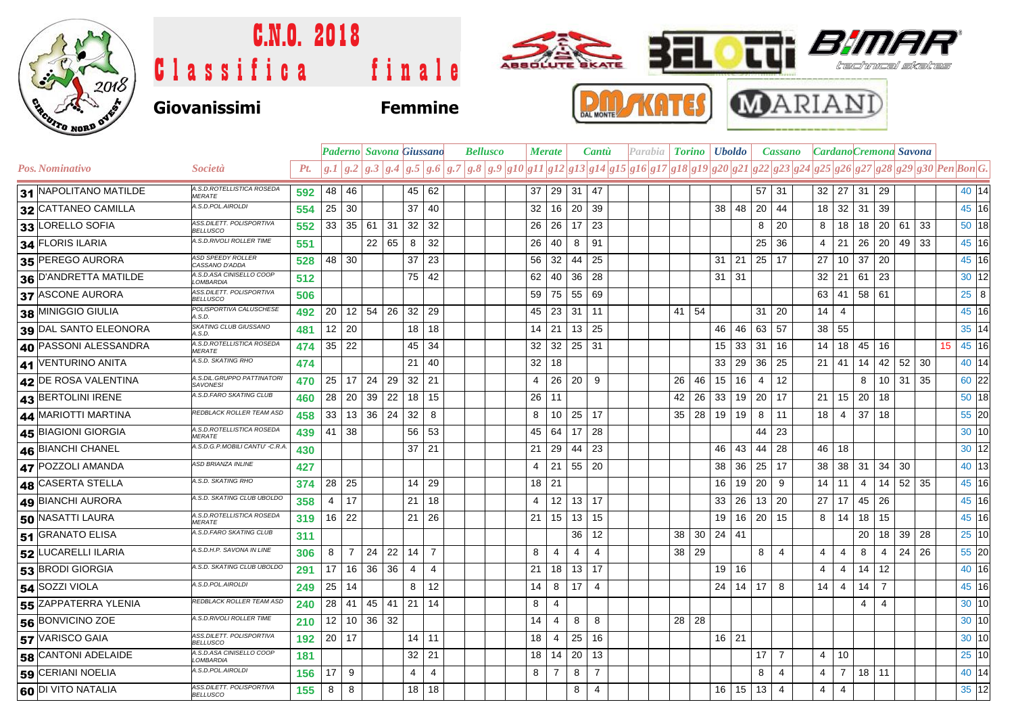

## C.N.O. 2018 ABBOULTE BKATE s Classifica finale Kralt reser **MARIANI KATES** DAL MONTE **Giovanissimi Femmine**

|  |                       |                                               |     |                 |       | <b>Paderno</b> Savona Giussano |          |                | <b>Bellusco</b> |                                                                                                                                      | Merate              |    |                      | <b>Cantu</b>   | Parabia   <b>Torino   Uboldo</b> |       |     |              |                       | Cassano        |  |                 |                      | Cardano Cremona Savona |                 |    |    |             |              |
|--|-----------------------|-----------------------------------------------|-----|-----------------|-------|--------------------------------|----------|----------------|-----------------|--------------------------------------------------------------------------------------------------------------------------------------|---------------------|----|----------------------|----------------|----------------------------------|-------|-----|--------------|-----------------------|----------------|--|-----------------|----------------------|------------------------|-----------------|----|----|-------------|--------------|
|  | Pos. Nominativo       | Società                                       | Pt. |                 |       |                                |          |                |                 | $g.1 g.2 g.3 g.4 g.5 g.6 g.7 g.8 g.9 g10 g11 g12 g13 g14 g15 g16 g17 g18 g19 g20 g21 g22 g23 g24 g25 g26 g27 g28 g29 g30 Pen Bon G.$ |                     |    |                      |                |                                  |       |     |              |                       |                |  |                 |                      |                        |                 |    |    |             |              |
|  | 31 NAPOLITANO MATILDE | A.S.D.ROTELLISTICA ROSEDA<br><b>MERATE</b>    | 592 | 48              | 46    |                                | 45       | 62             |                 | 37                                                                                                                                   |                     |    | $29$ 31 47           |                |                                  |       |     |              |                       | $57$ 31        |  | 32 27           |                      | 31                     | 29              |    |    |             | 40 14        |
|  | 32 CATTANEO CAMILLA   | A.S.D.POL.AIROLDI                             | 554 | 25 30           |       |                                | 37       | 40             |                 |                                                                                                                                      | 32                  | 16 | 20 39                |                |                                  |       |     | 38           | 48<br>20              | 44             |  | 18              | 32                   | 31                     | 39              |    |    |             | 45 16        |
|  | 33 LORELLO SOFIA      | ASS.DILETT. POLISPORTIVA<br><b>BELLUSCO</b>   | 552 |                 | 33 35 | 61 31                          | 32       | 32             |                 |                                                                                                                                      | 26<br>26            |    | $17$ 23              |                |                                  |       |     |              | 8                     | 20             |  | 8               | 18                   | 18                     | 20 61           |    | 33 | $50$ 18     |              |
|  | 34 FLORIS ILARIA      | A.S.D.RIVOLI ROLLER TIME                      | 551 |                 |       | 22                             | 65<br>8  | 32             |                 |                                                                                                                                      | 26<br>40            |    | 8                    | 91             |                                  |       |     |              | 25                    | 36             |  | 4               | 21                   | 26                     | 20              | 49 | 33 | 45 16       |              |
|  | 35 PEREGO AURORA      | <b>ASD SPEEDY ROLLER</b><br>CASSANO D'ADDA    | 528 | 48 30           |       |                                | 37       | 23             |                 |                                                                                                                                      | 32<br>56            |    | $44 \mid 25$         |                |                                  |       |     | 31           | 21                    | 25 17          |  | 27              | 10                   | 37                     | 20              |    |    |             | 45 16        |
|  | 36 D'ANDRETTA MATILDE | A.S.D.ASA CINISELLO COOP<br>LOMBARDIA         | 512 |                 |       |                                | 75       | 42             |                 | 62                                                                                                                                   | 40                  |    | $36 \mid 28$         |                |                                  |       |     | $31 \mid 31$ |                       |                |  |                 | $32 \mid 21 \mid 61$ |                        | 23              |    |    |             | 30 12        |
|  | 37 ASCONE AURORA      | ASS.DILETT. POLISPORTIVA<br><b>BELLUSCO</b>   | 506 |                 |       |                                |          |                |                 | 59                                                                                                                                   | 75                  |    | 55 69                |                |                                  |       |     |              |                       |                |  |                 |                      | $63$   41   58   61    |                 |    |    |             | $25 \quad 8$ |
|  | 38 MINIGGIO GIULIA    | POLISPORTIVA CALUSCHESE<br>A.S.D.             | 492 | 20              | 12    | 54                             | 26<br>32 | 29             |                 |                                                                                                                                      | 23<br>45            |    | $31$   11            |                |                                  | 41    | -54 |              | 31                    | 20             |  | 14 <sup>1</sup> | -4                   |                        |                 |    |    |             | 45 16        |
|  | 39 DAL SANTO ELEONORA | SKATING CLUB GIUSSANO<br>A.S.D.               | 481 | 12 20           |       |                                | 18       | 18             |                 | 14                                                                                                                                   | 21                  |    | $13 \mid 25$         |                |                                  |       |     | 46           | 46<br>63              | 57             |  | 38 55           |                      |                        |                 |    |    | 35 14       |              |
|  | 40 PASSONI ALESSANDRA | A.S.D.ROTELLISTICA ROSEDA<br><b>MERATE</b>    | 474 | 35 22           |       |                                | 45       | 34             |                 | 32                                                                                                                                   |                     |    | $32 \mid 25 \mid 31$ |                |                                  |       |     | 15           | 33<br>31              | 16             |  |                 | $14$   18   45       |                        | 16              |    |    | 45 16<br>15 |              |
|  | 41 VENTURINO ANITA    | A.S.D. SKATING RHO                            | 474 |                 |       |                                | 21       | 40             |                 | 32                                                                                                                                   | 18                  |    |                      |                |                                  |       |     | 33           | 29<br>36              | 25             |  | 21   41         |                      | 14                     | 42              | 52 | 30 |             | 40 14        |
|  | 42 DE ROSA VALENTINA  | A.S.DIL.GRUPPO PATTINATORI<br><b>SAVONESI</b> | 470 | $25$ 17         |       | 24<br>29                       | 32       | 21             |                 | 4                                                                                                                                    |                     | 26 | $20 \mid 9$          |                |                                  | 26    | 46  | 15           | 16<br>$\overline{4}$  | 12             |  |                 |                      | 8                      | 10 <sup>°</sup> | 31 | 35 | 60 22       |              |
|  | 43 BERTOLINI IRENE    | A.S.D.FARO SKATING CLUB                       | 460 |                 | 28 20 | 39                             | 22<br>18 | 15             |                 |                                                                                                                                      | 26<br>11            |    |                      |                |                                  | 42    | 26  | 33           | 19<br>20              | 17             |  | $21 \quad 15$   |                      | 20                     | 18              |    |    | 50 18       |              |
|  | 44 MARIOTTI MARTINA   | REDBLACK ROLLER TEAM ASD                      | 458 |                 | 33 13 | 36                             | 24<br>32 | 8              |                 | 8                                                                                                                                    | 10                  |    | $25$ 17              |                |                                  | 35 28 |     | 19           | 19<br>8               | 11             |  | 18              | -4                   | 37                     | 18              |    |    | $55$ 20     |              |
|  | 45 BIAGIONI GIORGIA   | A.S.D.ROTELLISTICA ROSEDA<br><b>MERATE</b>    | 439 | $41 \mid 38$    |       |                                | 56       | -53            |                 |                                                                                                                                      | 64<br>45            |    | $17 \mid 28$         |                |                                  |       |     |              | 44                    | 23             |  |                 |                      |                        |                 |    |    | 30 10       |              |
|  | 46 BIANCHI CHANEL     | A.S.D.G.P.MOBILI CANTU' -C.R.A                | 430 |                 |       |                                | 37       | 21             |                 | 21                                                                                                                                   | 29                  |    | $44 \mid 23$         |                |                                  |       |     | 46           | 43<br>44              | 28             |  | 46 18           |                      |                        |                 |    |    | 30 12       |              |
|  | 47 POZZOLI AMANDA     | <b>ASD BRIANZA INLINE</b>                     | 427 |                 |       |                                |          |                |                 |                                                                                                                                      | 21<br>4             |    | 55 20                |                |                                  |       |     | 38           | 36<br>25              | 17             |  | 38              | 38                   | 31                     | 34              | 30 |    |             | 40 13        |
|  | 48 CASERTA STELLA     | A.S.D. SKATING RHO                            | 374 | 28 <sup>1</sup> | 25    |                                | 14       | 29             |                 |                                                                                                                                      | 21<br>18            |    |                      |                |                                  |       |     | 16           | 19<br>20              | 9              |  |                 | 14   11              | 4                      | 14              | 52 | 35 |             | 45 16        |
|  | 49 BIANCHI AURORA     | A.S.D. SKATING CLUB UBOLDO                    | 358 | $4\overline{ }$ | 17    |                                | 21       | 18             |                 | 4                                                                                                                                    |                     | 12 | $13$ 17              |                |                                  |       |     | 33           | 26<br>13 <sup>1</sup> | 20             |  | 27              | 17                   | 45                     | 26              |    |    |             | 45 16        |
|  | 50 NASATTI LAURA      | A.S.D.ROTELLISTICA ROSEDA<br><b>MERATE</b>    | 319 | $16$ 22         |       |                                | 21       | 26             |                 | 21                                                                                                                                   |                     | 15 | 13 15                |                |                                  |       |     | 19           | 16<br>20              | 15             |  |                 | $8 \mid 14$          | 18                     | 15              |    |    |             | 45 16        |
|  | 51 GRANATO ELISA      | A.S.D.FARO SKATING CLUB                       | 311 |                 |       |                                |          |                |                 |                                                                                                                                      |                     |    | 36                   | 12             |                                  | 38    | 30  | 24           | 41                    |                |  |                 |                      | 20                     | 18              | 39 | 28 | 25 10       |              |
|  | 52 LUCARELLI ILARIA   | A.S.D.H.P. SAVONA IN LINE                     | 306 | 8               | 7     | 24                             | 22<br>14 | $\overline{7}$ |                 | 8                                                                                                                                    | 4                   |    | 4                    | 4              |                                  | 38    | 29  |              | 8                     | $\overline{4}$ |  | 4               | 4                    | 8                      | 4               | 24 | 26 | $55$ 20     |              |
|  | 53 BRODI GIORGIA      | A.S.D. SKATING CLUB UBOLDO                    | 291 | 17 <sup>1</sup> | 16    | 36                             | 36<br>4  | 4              |                 | 21                                                                                                                                   |                     | 18 | $13 \mid 17$         |                |                                  |       |     | 19           | 16                    |                |  | 4               | 4                    | 14                     | 12              |    |    |             | 40 16        |
|  | 54 SOZZI VIOLA        | A.S.D.POL.AIROLDI                             | 249 | 25              | 14    |                                | 8        | 12             |                 | 14                                                                                                                                   | 8                   |    | $17 \mid 4$          |                |                                  |       |     | 24           | 17<br>14              | 8              |  | 14              | $\overline{4}$       | 14                     | $\overline{7}$  |    |    |             | 45 16        |
|  | 55 ZAPPATERRA YLENIA  | REDBLACK ROLLER TEAM ASD                      | 240 | $28$ 41         |       | 45<br>41                       | 21       | 14             |                 | 8                                                                                                                                    | $\overline{4}$      |    |                      |                |                                  |       |     |              |                       |                |  |                 |                      | $\overline{4}$         | $\overline{4}$  |    |    | 30 10       |              |
|  | 56 BONVICINO ZOE      | A.S.D.RIVOLI ROLLER TIME                      | 210 | 12 <sub>1</sub> | 10    | 36 32                          |          |                |                 | 14                                                                                                                                   | $\overline{4}$      |    | 8                    | 8              |                                  | 28 28 |     |              |                       |                |  |                 |                      |                        |                 |    |    | 30 10       |              |
|  | 57 VARISCO GAIA       | ASS.DILETT. POLISPORTIVA<br><b>BELLUSCO</b>   | 192 | 20 17           |       |                                | 14       | -11            |                 |                                                                                                                                      | 18<br>4             |    | 25                   | 16             |                                  |       |     | 16 21        |                       |                |  |                 |                      |                        |                 |    |    | 30 10       |              |
|  | 58 CANTONI ADELAIDE   | A.S.D.ASA CINISELLO COOP<br>LOMBARDIA         | 181 |                 |       |                                | 32       | 21             |                 |                                                                                                                                      | 18<br>14            |    | 20                   | 13             |                                  |       |     |              | 17                    | 7              |  | 4               | 10                   |                        |                 |    |    |             | 25 10        |
|  | 59 CERIANI NOELIA     | A.S.D.POL.AIROLDI                             | 156 | 17              | 9     |                                | 4        | 4              |                 |                                                                                                                                      | $\overline{7}$<br>8 |    | 8                    | $\overline{7}$ |                                  |       |     |              | 8                     | 4              |  | 4               | $\overline{7}$       | $18$ 11                |                 |    |    |             | 40 14        |
|  | 60 DI VITO NATALIA    | ASS.DILETT. POLISPORTIVA<br><b>BELLUSCO</b>   | 155 | 8               | 8     |                                | 18       | 18             |                 |                                                                                                                                      |                     |    | 8                    | 4              |                                  |       |     | 16           | 15<br>13              | $\overline{4}$ |  | 4               | $\overline{4}$       |                        |                 |    |    | 35 12       |              |